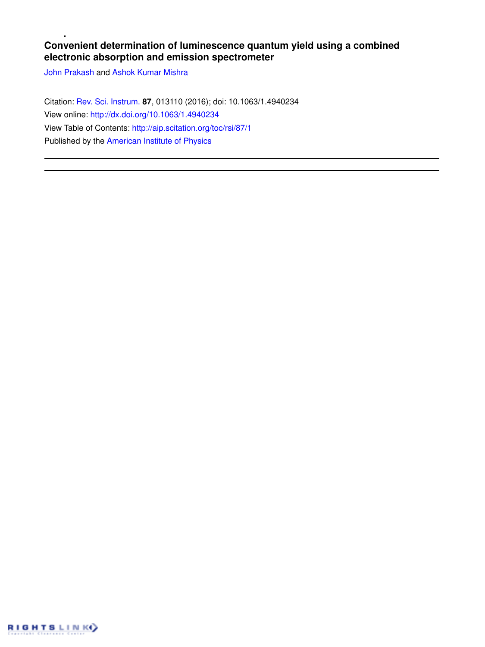# **Convenient determination of luminescence quantum yield using a combined electronic absorption and emission spectrometer**

John Prakash and Ashok Kumar Mishra

Citation: Rev. Sci. Instrum. **87**, 013110 (2016); doi: 10.1063/1.4940234 View online: http://dx.doi.org/10.1063/1.4940234 View Table of Contents: http://aip.scitation.org/toc/rsi/87/1 Published by the American Institute of Physics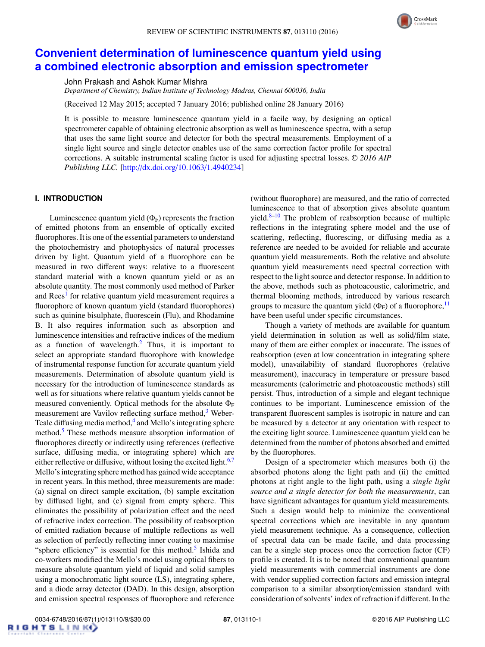

# **Convenient determination of luminescence quantum yield using a combined electronic absorption and emission spectrometer**

John Prakash and Ashok Kumar Mishra

*Department of Chemistry, Indian Institute of Technology Madras, Chennai 600036, India*

(Received 12 May 2015; accepted 7 January 2016; published online 28 January 2016)

It is possible to measure luminescence quantum yield in a facile way, by designing an optical spectrometer capable of obtaining electronic absorption as well as luminescence spectra, with a setup that uses the same light source and detector for both the spectral measurements. Employment of a single light source and single detector enables use of the same correction factor profile for spectral corrections. A suitable instrumental scaling factor is used for adjusting spectral losses. <sup>C</sup> *2016 AIP Publishing LLC.* [http://dx.doi.org/10.1063/1.4940234]

### **I. INTRODUCTION**

Luminescence quantum yield  $(\Phi_F)$  represents the fraction of emitted photons from an ensemble of optically excited fluorophores. It is one of the essential parameters to understand the photochemistry and photophysics of natural processes driven by light. Quantum yield of a fluorophore can be measured in two different ways: relative to a fluorescent standard material with a known quantum yield or as an absolute quantity. The most commonly used method of Parker and Rees<sup>1</sup> for relative quantum yield measurement requires a fluorophore of known quantum yield (standard fluorophores) such as quinine bisulphate, fluorescein (Flu), and Rhodamine B. It also requires information such as absorption and luminescence intensities and refractive indices of the medium as a function of wavelength. $<sup>2</sup>$  Thus, it is important to</sup> select an appropriate standard fluorophore with knowledge of instrumental response function for accurate quantum yield measurements. Determination of absolute quantum yield is necessary for the introduction of luminescence standards as well as for situations where relative quantum yields cannot be measured conveniently. Optical methods for the absolute  $\Phi_F$ measurement are Vavilov reflecting surface method, $3$  Weber-Teale diffusing media method,<sup>4</sup> and Mello's integrating sphere method.<sup>5</sup> These methods measure absorption information of fluorophores directly or indirectly using references (reflective surface, diffusing media, or integrating sphere) which are either reflective or diffusive, without losing the excited light. $6,7$ Mello's integrating sphere method has gained wide acceptance in recent years. In this method, three measurements are made: (a) signal on direct sample excitation, (b) sample excitation by diffused light, and (c) signal from empty sphere. This eliminates the possibility of polarization effect and the need of refractive index correction. The possibility of reabsorption of emitted radiation because of multiple reflections as well as selection of perfectly reflecting inner coating to maximise "sphere efficiency" is essential for this method.<sup>5</sup> Ishida and co-workers modified the Mello's model using optical fibers to measure absolute quantum yield of liquid and solid samples using a monochromatic light source (LS), integrating sphere, and a diode array detector (DAD). In this design, absorption and emission spectral responses of fluorophore and reference

(without fluorophore) are measured, and the ratio of corrected luminescence to that of absorption gives absolute quantum yield. $8-10$  The problem of reabsorption because of multiple reflections in the integrating sphere model and the use of scattering, reflecting, fluorescing, or diffusing media as a reference are needed to be avoided for reliable and accurate quantum yield measurements. Both the relative and absolute quantum yield measurements need spectral correction with respect to the light source and detector response. In addition to the above, methods such as photoacoustic, calorimetric, and thermal blooming methods, introduced by various research groups to measure the quantum yield  $(\Phi_F)$  of a fluorophore,  $\frac{11}{1}$ have been useful under specific circumstances.

Though a variety of methods are available for quantum yield determination in solution as well as solid/film state, many of them are either complex or inaccurate. The issues of reabsorption (even at low concentration in integrating sphere model), unavailability of standard fluorophores (relative measurement), inaccuracy in temperature or pressure based measurements (calorimetric and photoacoustic methods) still persist. Thus, introduction of a simple and elegant technique continues to be important. Luminescence emission of the transparent fluorescent samples is isotropic in nature and can be measured by a detector at any orientation with respect to the exciting light source. Luminescence quantum yield can be determined from the number of photons absorbed and emitted by the fluorophores.

Design of a spectrometer which measures both (i) the absorbed photons along the light path and (ii) the emitted photons at right angle to the light path, using a *single light source and a single detector for both the measurements*, can have significant advantages for quantum yield measurements. Such a design would help to minimize the conventional spectral corrections which are inevitable in any quantum yield measurement technique. As a consequence, collection of spectral data can be made facile, and data processing can be a single step process once the correction factor (CF) profile is created. It is to be noted that conventional quantum yield measurements with commercial instruments are done with vendor supplied correction factors and emission integral comparison to a similar absorption/emission standard with consideration of solvents' index of refraction if different. In the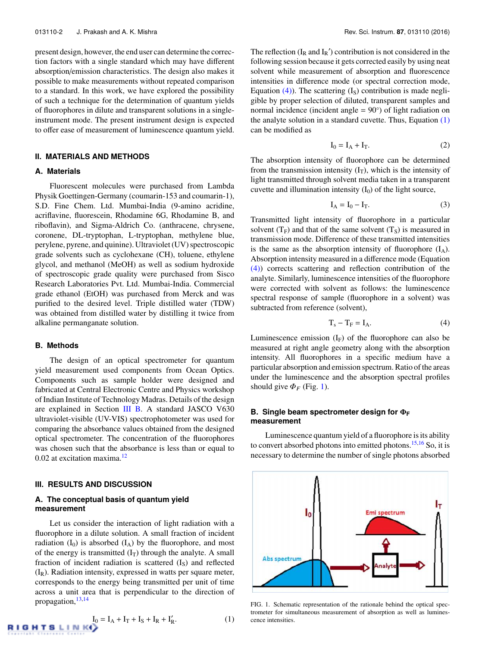present design, however, the end user can determine the correction factors with a single standard which may have different absorption/emission characteristics. The design also makes it possible to make measurements without repeated comparison to a standard. In this work, we have explored the possibility of such a technique for the determination of quantum yields of fluorophores in dilute and transparent solutions in a singleinstrument mode. The present instrument design is expected to offer ease of measurement of luminescence quantum yield.

# **II. MATERIALS AND METHODS**

#### **A. Materials**

Fluorescent molecules were purchased from Lambda Physik Goettingen-Germany (coumarin-153 and coumarin-1), S.D. Fine Chem. Ltd. Mumbai-India (9-amino acridine, acriflavine, fluorescein, Rhodamine 6G, Rhodamine B, and riboflavin), and Sigma-Aldrich Co. (anthracene, chrysene, coronene, DL-tryptophan, L-tryptophan, methylene blue, perylene, pyrene, and quinine). Ultraviolet (UV) spectroscopic grade solvents such as cyclohexane (CH), toluene, ethylene glycol, and methanol (MeOH) as well as sodium hydroxide of spectroscopic grade quality were purchased from Sisco Research Laboratories Pvt. Ltd. Mumbai-India. Commercial grade ethanol (EtOH) was purchased from Merck and was purified to the desired level. Triple distilled water (TDW) was obtained from distilled water by distilling it twice from alkaline permanganate solution.

# **B. Methods**

R

The design of an optical spectrometer for quantum yield measurement used components from Ocean Optics. Components such as sample holder were designed and fabricated at Central Electronic Centre and Physics workshop of Indian Institute of Technology Madras. Details of the design are explained in Section III B. A standard JASCO V630 ultraviolet-visible (UV-VIS) spectrophotometer was used for comparing the absorbance values obtained from the designed optical spectrometer. The concentration of the fluorophores was chosen such that the absorbance is less than or equal to  $0.02$  at excitation maxima.<sup>12</sup>

# **III. RESULTS AND DISCUSSION**

## **A. The conceptual basis of quantum yield measurement**

Let us consider the interaction of light radiation with a fluorophore in a dilute solution. A small fraction of incident radiation  $(I_0)$  is absorbed  $(I_A)$  by the fluorophore, and most of the energy is transmitted  $(I_T)$  through the analyte. A small fraction of incident radiation is scattered  $(I<sub>S</sub>)$  and reflected  $(I_R)$ . Radiation intensity, expressed in watts per square meter, corresponds to the energy being transmitted per unit of time across a unit area that is perpendicular to the direction of propagation,13,14

$$
\mathbf{I}_0 = \mathbf{I}_A + \mathbf{I}_T + \mathbf{I}_R + \mathbf{I}'_R.
$$
 (1)

The reflection  $(I_R \text{ and } I_R)'$  contribution is not considered in the following session because it gets corrected easily by using neat solvent while measurement of absorption and fluorescence intensities in difference mode (or spectral correction mode, Equation  $(4)$ ). The scattering  $(I<sub>S</sub>)$  contribution is made negligible by proper selection of diluted, transparent samples and normal incidence (incident angle =  $90^{\circ}$ ) of light radiation on the analyte solution in a standard cuvette. Thus, Equation  $(1)$ can be modified as

$$
I_0 = I_A + I_T. \tag{2}
$$

The absorption intensity of fluorophore can be determined from the transmission intensity  $(I_T)$ , which is the intensity of light transmitted through solvent media taken in a transparent cuvette and illumination intensity  $(I_0)$  of the light source,

$$
\mathbf{I}_{\mathbf{A}} = \mathbf{I}_0 - \mathbf{I}_{\mathbf{T}}.\tag{3}
$$

Transmitted light intensity of fluorophore in a particular solvent  $(T_F)$  and that of the same solvent  $(T_S)$  is measured in transmission mode. Difference of these transmitted intensities is the same as the absorption intensity of fluorophore  $(I_A)$ . Absorption intensity measured in a difference mode (Equation (4)) corrects scattering and reflection contribution of the analyte. Similarly, luminescence intensities of the fluorophore were corrected with solvent as follows: the luminescence spectral response of sample (fluorophore in a solvent) was subtracted from reference (solvent),

$$
T_s - T_F = I_A. \t\t(4)
$$

Luminescence emission  $(I_F)$  of the fluorophore can also be measured at right angle geometry along with the absorption intensity. All fluorophores in a specific medium have a particular absorption and emission spectrum. Ratio of the areas under the luminescence and the absorption spectral profiles should give  $\Phi_F$  (Fig. 1).

### **B.** Single beam spectrometer design for  $Φ$ **F measurement**

Luminescence quantum yield of a fluorophore is its ability to convert absorbed photons into emitted photons.<sup>15,16</sup> So, it is necessary to determine the number of single photons absorbed



FIG. 1. Schematic representation of the rationale behind the optical spectrometer for simultaneous measurement of absorption as well as luminescence intensities.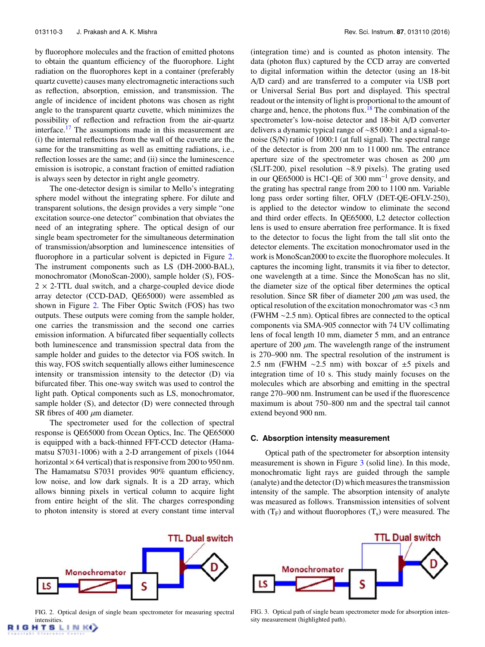by fluorophore molecules and the fraction of emitted photons to obtain the quantum efficiency of the fluorophore. Light radiation on the fluorophores kept in a container (preferably quartz cuvette) causes many electromagnetic interactions such as reflection, absorption, emission, and transmission. The angle of incidence of incident photons was chosen as right angle to the transparent quartz cuvette, which minimizes the possibility of reflection and refraction from the air-quartz interface.<sup>17</sup> The assumptions made in this measurement are (i) the internal reflections from the wall of the cuvette are the same for the transmitting as well as emitting radiations, i.e., reflection losses are the same; and (ii) since the luminescence emission is isotropic, a constant fraction of emitted radiation is always seen by detector in right angle geometry.

The one-detector design is similar to Mello's integrating sphere model without the integrating sphere. For dilute and transparent solutions, the design provides a very simple "one excitation source-one detector" combination that obviates the need of an integrating sphere. The optical design of our single beam spectrometer for the simultaneous determination of transmission/absorption and luminescence intensities of fluorophore in a particular solvent is depicted in Figure 2. The instrument components such as LS (DH-2000-BAL), monochromator (MonoScan-2000), sample holder (S), FOS- $2 \times 2$ -TTL dual switch, and a charge-coupled device diode array detector (CCD-DAD, QE65000) were assembled as shown in Figure 2. The Fiber Optic Switch (FOS) has two outputs. These outputs were coming from the sample holder, one carries the transmission and the second one carries emission information. A bifurcated fiber sequentially collects both luminescence and transmission spectral data from the sample holder and guides to the detector via FOS switch. In this way, FOS switch sequentially allows either luminescence intensity or transmission intensity to the detector (D) via bifurcated fiber. This one-way switch was used to control the light path. Optical components such as LS, monochromator, sample holder (S), and detector (D) were connected through SR fibres of 400  $\mu$ m diameter.

The spectrometer used for the collection of spectral response is QE65000 from Ocean Optics, Inc. The QE65000 is equipped with a back-thinned FFT-CCD detector (Hamamatsu S7031-1006) with a 2-D arrangement of pixels (1044 horizontal  $\times$  64 vertical) that is responsive from 200 to 950 nm. The Hamamatsu S7031 provides 90% quantum efficiency, low noise, and low dark signals. It is a 2D array, which allows binning pixels in vertical column to acquire light from entire height of the slit. The charges corresponding to photon intensity is stored at every constant time interval

**TTL Dual switch** Monochromator LS

FIG. 2. Optical design of single beam spectrometer for measuring spectral intensities.

GHTSLINKO

(integration time) and is counted as photon intensity. The data (photon flux) captured by the CCD array are converted to digital information within the detector (using an 18-bit A/D card) and are transferred to a computer via USB port or Universal Serial Bus port and displayed. This spectral readout or the intensity of light is proportional to the amount of charge and, hence, the photons flux.<sup>18</sup> The combination of the spectrometer's low-noise detector and 18-bit A/D converter delivers a dynamic typical range of ∼85 000:1 and a signal-tonoise (S/N) ratio of 1000:1 (at full signal). The spectral range of the detector is from 200 nm to 11 000 nm. The entrance aperture size of the spectrometer was chosen as 200  $\mu$ m (SLIT-200, pixel resolution ∼8.9 pixels). The grating used in our QE65000 is HC1-QE of 300 mm<sup>-1</sup> grove density, and the grating has spectral range from 200 to 1100 nm. Variable long pass order sorting filter, OFLV (DET-QE-OFLV-250), is applied to the detector window to eliminate the second and third order effects. In QE65000, L2 detector collection lens is used to ensure aberration free performance. It is fixed to the detector to focus the light from the tall slit onto the detector elements. The excitation monochromator used in the work is MonoScan2000 to excite the fluorophore molecules. It captures the incoming light, transmits it via fiber to detector, one wavelength at a time. Since the MonoScan has no slit, the diameter size of the optical fiber determines the optical resolution. Since SR fiber of diameter 200  $\mu$ m was used, the optical resolution of the excitation monochromator was <3 nm (FWHM ∼2.5 nm). Optical fibres are connected to the optical components via SMA-905 connector with 74 UV collimating lens of focal length 10 mm, diameter 5 mm, and an entrance aperture of 200  $\mu$ m. The wavelength range of the instrument is 270–900 nm. The spectral resolution of the instrument is 2.5 nm (FWHM  $\sim$ 2.5 nm) with boxcar of  $\pm$ 5 pixels and integration time of 10 s. This study mainly focuses on the molecules which are absorbing and emitting in the spectral range 270–900 nm. Instrument can be used if the fluorescence maximum is about 750–800 nm and the spectral tail cannot extend beyond 900 nm.

#### **C. Absorption intensity measurement**

Optical path of the spectrometer for absorption intensity measurement is shown in Figure 3 (solid line). In this mode, monochromatic light rays are guided through the sample (analyte) and the detector (D) which measures the transmission intensity of the sample. The absorption intensity of analyte was measured as follows. Transmission intensities of solvent with  $(T_F)$  and without fluorophores  $(T_s)$  were measured. The



FIG. 3. Optical path of single beam spectrometer mode for absorption intensity measurement (highlighted path).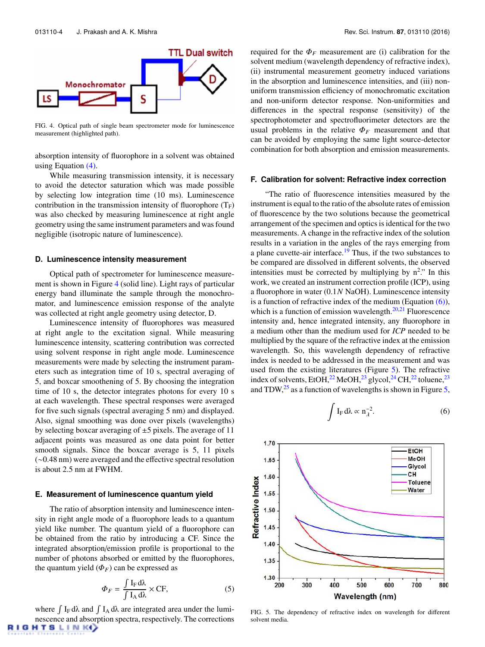

FIG. 4. Optical path of single beam spectrometer mode for luminescence measurement (highlighted path).

absorption intensity of fluorophore in a solvent was obtained using Equation (4).

While measuring transmission intensity, it is necessary to avoid the detector saturation which was made possible by selecting low integration time (10 ms). Luminescence contribution in the transmission intensity of fluorophore  $(T_F)$ was also checked by measuring luminescence at right angle geometry using the same instrument parameters and was found negligible (isotropic nature of luminescence).

#### **D. Luminescence intensity measurement**

Optical path of spectrometer for luminescence measurement is shown in Figure 4 (solid line). Light rays of particular energy band illuminate the sample through the monochromator, and luminescence emission response of the analyte was collected at right angle geometry using detector, D.

Luminescence intensity of fluorophores was measured at right angle to the excitation signal. While measuring luminescence intensity, scattering contribution was corrected using solvent response in right angle mode. Luminescence measurements were made by selecting the instrument parameters such as integration time of 10 s, spectral averaging of 5, and boxcar smoothening of 5. By choosing the integration time of 10 s, the detector integrates photons for every 10 s at each wavelength. These spectral responses were averaged for five such signals (spectral averaging 5 nm) and displayed. Also, signal smoothing was done over pixels (wavelengths) by selecting boxcar averaging of ±5 pixels. The average of 11 adjacent points was measured as one data point for better smooth signals. Since the boxcar average is 5, 11 pixels (∼0.48 nm) were averaged and the effective spectral resolution is about 2.5 nm at FWHM.

#### **E. Measurement of luminescence quantum yield**

The ratio of absorption intensity and luminescence intensity in right angle mode of a fluorophore leads to a quantum yield like number. The quantum yield of a fluorophore can be obtained from the ratio by introducing a CF. Since the integrated absorption/emission profile is proportional to the number of photons absorbed or emitted by the fluorophores, the quantum yield  $(\Phi_F)$  can be expressed as

$$
\Phi_F = \frac{\int I_F d\lambda}{\int I_A d\lambda} \times CF,
$$
\n(5)

where  $\int I_F d\lambda$  and  $\int I_A d\lambda$  are integrated area under the luminescence and absorption spectra, respectively. The corrections GHTSLINKY

required for the  $\Phi_F$  measurement are (i) calibration for the solvent medium (wavelength dependency of refractive index), (ii) instrumental measurement geometry induced variations in the absorption and luminescence intensities, and (iii) nonuniform transmission efficiency of monochromatic excitation and non-uniform detector response. Non-uniformities and differences in the spectral response (sensitivity) of the spectrophotometer and spectrofluorimeter detectors are the usual problems in the relative  $\Phi_F$  measurement and that can be avoided by employing the same light source-detector combination for both absorption and emission measurements.

## **F. Calibration for solvent: Refractive index correction**

"The ratio of fluorescence intensities measured by the instrument is equal to the ratio of the absolute rates of emission of fluorescence by the two solutions because the geometrical arrangement of the specimen and optics is identical for the two measurements. A change in the refractive index of the solution results in a variation in the angles of the rays emerging from a plane cuvette-air interface.<sup>19</sup> Thus, if the two substances to be compared are dissolved in different solvents, the observed intensities must be corrected by multiplying by  $n^2$ ." In this work, we created an instrument correction profile (ICP), using a fluorophore in water (0.1*N* NaOH). Luminescence intensity is a function of refractive index of the medium (Equation  $(6)$ ), which is a function of emission wavelength. $20,21$  Fluorescence intensity and, hence integrated intensity, any fluorophore in a medium other than the medium used for *ICP* needed to be multiplied by the square of the refractive index at the emission wavelength. So, this wavelength dependency of refractive index is needed to be addressed in the measurement and was used from the existing literatures (Figure 5). The refractive index of solvents, EtOH,<sup>22</sup> MeOH,<sup>23</sup> glycol,<sup>24</sup> CH,<sup>22</sup> toluene,<sup>23</sup> and TDW, $^{25}$  as a function of wavelengths is shown in Figure 5,

$$
\int I_{F} d\lambda \propto n_{\lambda}^{-2}.
$$
 (6)



FIG. 5. The dependency of refractive index on wavelength for different solvent media.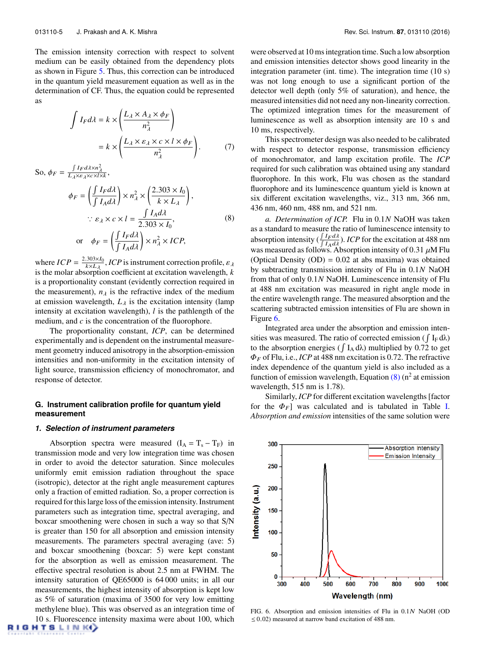The emission intensity correction with respect to solvent medium can be easily obtained from the dependency plots as shown in Figure 5. Thus, this correction can be introduced in the quantum yield measurement equation as well as in the determination of CF. Thus, the equation could be represented as

$$
\int I_F d\lambda = k \times \left( \frac{L_{\lambda} \times A_{\lambda} \times \phi_F}{n_{\lambda}^2} \right)
$$

$$
= k \times \left( \frac{L_{\lambda} \times \varepsilon_{\lambda} \times c \times l \times \phi_F}{n_{\lambda}^2} \right). \tag{7}
$$

So,  $\phi_F = \frac{\int I_F d\lambda \times n_\lambda^2}{L_\lambda \times \varepsilon_\lambda \times \varepsilon \times l \times k},$ 

$$
\phi_F = \left(\frac{\int I_F d\lambda}{\int I_A d\lambda}\right) \times n_\lambda^2 \times \left(\frac{2.303 \times I_0}{k \times L_\lambda}\right),
$$
  

$$
\therefore \varepsilon_\lambda \times c \times l = \frac{\int I_A d\lambda}{2.303 \times I_0},
$$
  
or 
$$
\phi_F = \left(\frac{\int I_F d\lambda}{\int I_A d\lambda}\right) \times n_\lambda^2 \times ICP,
$$

where  $ICP = \frac{2.303 \times I_0}{k \times L_\lambda}$ , *ICP* is instrument correction profile,  $\varepsilon_\lambda$ is the molar absorption coefficient at excitation wavelength, *k* is a proportionality constant (evidently correction required in the measurement),  $n_{\lambda}$  is the refractive index of the medium at emission wavelength,  $L<sub>\lambda</sub>$  is the excitation intensity (lamp intensity at excitation wavelength), *l* is the pathlength of the medium, and *c* is the concentration of the fluorophore.

The proportionality constant, *ICP*, can be determined experimentally and is dependent on the instrumental measurement geometry induced anisotropy in the absorption-emission intensities and non-uniformity in the excitation intensity of light source, transmission efficiency of monochromator, and response of detector.

## **G. Instrument calibration profile for quantum yield measurement**

#### *1. Selection of instrument parameters*

Absorption spectra were measured  $(I_A = T_s - T_F)$  in transmission mode and very low integration time was chosen in order to avoid the detector saturation. Since molecules uniformly emit emission radiation throughout the space (isotropic), detector at the right angle measurement captures only a fraction of emitted radiation. So, a proper correction is required for this large loss of the emission intensity. Instrument parameters such as integration time, spectral averaging, and boxcar smoothening were chosen in such a way so that S/N is greater than 150 for all absorption and emission intensity measurements. The parameters spectral averaging (ave: 5) and boxcar smoothening (boxcar: 5) were kept constant for the absorption as well as emission measurement. The effective spectral resolution is about 2.5 nm at FWHM. The intensity saturation of QE65000 is 64 000 units; in all our measurements, the highest intensity of absorption is kept low as 5% of saturation (maxima of 3500 for very low emitting methylene blue). This was observed as an integration time of 10 s. Fluorescence intensity maxima were about 100, which GHTSLINK<sup>(</sup>)

were observed at 10 ms integration time. Such a low absorption and emission intensities detector shows good linearity in the integration parameter (int. time). The integration time (10 s) was not long enough to use a significant portion of the detector well depth (only 5% of saturation), and hence, the measured intensities did not need any non-linearity correction. The optimized integration times for the measurement of luminescence as well as absorption intensity are 10 s and 10 ms, respectively.

This spectrometer design was also needed to be calibrated with respect to detector response, transmission efficiency of monochromator, and lamp excitation profile. The *ICP* required for such calibration was obtained using any standard fluorophore. In this work, Flu was chosen as the standard fluorophore and its luminescence quantum yield is known at six different excitation wavelengths, viz., 313 nm, 366 nm, 436 nm, 460 nm, 488 nm, and 521 nm.

*a. Determination of ICP.* Flu in 0.1*N* NaOH was taken as a standard to measure the ratio of luminescence intensity to absorption intensity  $\left(\frac{\int I_F d\lambda}{\int I_F d\lambda}\right)$  $\frac{\int I_F \, d\lambda}{\int I_A \, d\lambda}$ ). *ICP* for the excitation at 488 nm was measured as follows. Absorption intensity of 0.31  $\mu$ M Flu (Optical Density  $(OD) = 0.02$  at abs maxima) was obtained by subtracting transmission intensity of Flu in 0.1*N* NaOH from that of only 0.1*N* NaOH. Luminescence intensity of Flu at 488 nm excitation was measured in right angle mode in the entire wavelength range. The measured absorption and the scattering subtracted emission intensities of Flu are shown in Figure 6.

Integrated area under the absorption and emission intensities was measured. The ratio of corrected emission ( $\int I_F d\lambda$ ) to the absorption energies ( $\int I_A d\lambda$ ) multiplied by 0.72 to get  $\Phi_F$  of Flu, i.e., *ICP* at 488 nm excitation is 0.72. The refractive index dependence of the quantum yield is also included as a function of emission wavelength, Equation  $(8)$  (n<sup>2</sup> at emission wavelength, 515 nm is 1.78).

Similarly, *ICP* for different excitation wavelengths [factor for the  $\Phi_F$ ] was calculated and is tabulated in Table I. *Absorption and emission* intensities of the same solution were



FIG. 6. Absorption and emission intensities of Flu in 0.1N NaOH (OD  $\leq$  0.02) measured at narrow band excitation of 488 nm.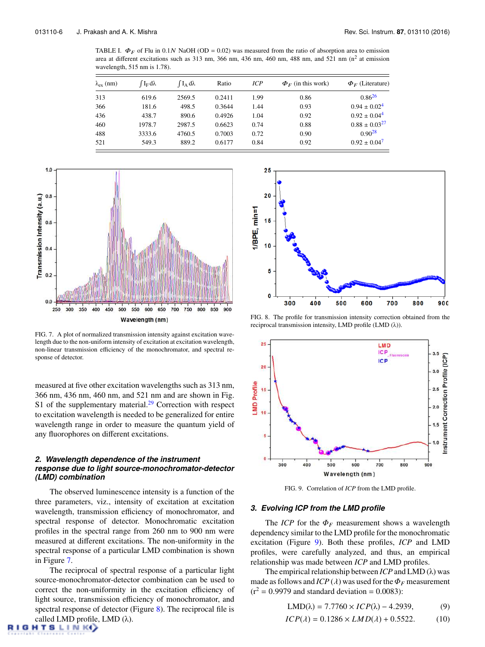TABLE I.  $\Phi_F$  of Flu in 0.1N NaOH (OD = 0.02) was measured from the ratio of absorption area to emission area at different excitations such as 313 nm, 366 nm, 436 nm, 460 nm, 488 nm, and 521 nm  $(n^2$  at emission wavelength, 515 nm is 1.78).

| $\lambda_{\rm ex}$ (nm) | $\int I_F d\lambda$ | $\int I_A d\lambda$ | Ratio  | ICP  | $\Phi_F$ (in this work) | $\Phi_F$ (Literature) |
|-------------------------|---------------------|---------------------|--------|------|-------------------------|-----------------------|
| 313                     | 619.6               | 2569.5              | 0.2411 | 1.99 | 0.86                    | $0.86^{26}$           |
| 366                     | 181.6               | 498.5               | 0.3644 | 1.44 | 0.93                    | $0.94 \pm 0.02^4$     |
| 436                     | 438.7               | 890.6               | 0.4926 | 1.04 | 0.92                    | $0.92 \pm 0.04^4$     |
| 460                     | 1978.7              | 2987.5              | 0.6623 | 0.74 | 0.88                    | $0.88 \pm 0.03^{27}$  |
| 488                     | 3333.6              | 4760.5              | 0.7003 | 0.72 | 0.90                    | $0.90^{28}$           |
| 521                     | 549.3               | 889.2               | 0.6177 | 0.84 | 0.92                    | $0.92 \pm 0.04^7$     |



FIG. 7. A plot of normalized transmission intensity against excitation wavelength due to the non-uniform intensity of excitation at excitation wavelength, non-linear transmission efficiency of the monochromator, and spectral response of detector.

measured at five other excitation wavelengths such as 313 nm, 366 nm, 436 nm, 460 nm, and 521 nm and are shown in Fig. S1 of the supplementary material.<sup>29</sup> Correction with respect to excitation wavelength is needed to be generalized for entire wavelength range in order to measure the quantum yield of any fluorophores on different excitations.

# *2. Wavelength dependence of the instrument response due to light source-monochromator-detector (LMD) combination*

The observed luminescence intensity is a function of the three parameters, viz., intensity of excitation at excitation wavelength, transmission efficiency of monochromator, and spectral response of detector. Monochromatic excitation profiles in the spectral range from 260 nm to 900 nm were measured at different excitations. The non-uniformity in the spectral response of a particular LMD combination is shown in Figure 7.

The reciprocal of spectral response of a particular light source-monochromator-detector combination can be used to correct the non-uniformity in the excitation efficiency of light source, transmission efficiency of monochromator, and spectral response of detector (Figure 8). The reciprocal file is called LMD profile, LMD  $(\lambda)$ .



FIG. 8. The profile for transmission intensity correction obtained from the reciprocal transmission intensity, LMD profile (LMD (λ)).



FIG. 9. Correlation of *ICP* from the LMD profile.

#### *3. Evolving ICP from the LMD profile*

The *ICP* for the  $\Phi_F$  measurement shows a wavelength dependency similar to the LMD profile for the monochromatic excitation (Figure 9). Both these profiles, *ICP* and LMD profiles, were carefully analyzed, and thus, an empirical relationship was made between *ICP* and LMD profiles.

The empirical relationship between *ICP* and LMD (λ) was made as follows and *ICP* ( $\lambda$ ) was used for the  $\Phi_F$  measurement  $(r^2 = 0.9979$  and standard deviation = 0.0083):

$$
LMD(\lambda) = 7.7760 \times ICP(\lambda) - 4.2939,
$$
 (9)

$$
ICP(\lambda) = 0.1286 \times LMD(\lambda) + 0.5522. \tag{10}
$$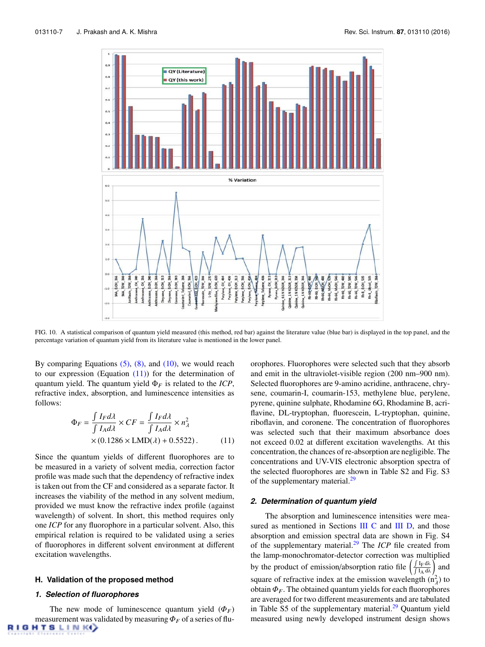

FIG. 10. A statistical comparison of quantum yield measured (this method, red bar) against the literature value (blue bar) is displayed in the top panel, and the percentage variation of quantum yield from its literature value is mentioned in the lower panel.

By comparing Equations  $(5)$ ,  $(8)$ , and  $(10)$ , we would reach to our expression (Equation  $(11)$ ) for the determination of quantum yield. The quantum yield  $\Phi_F$  is related to the *ICP*, refractive index, absorption, and luminescence intensities as follows:

$$
\Phi_F = \frac{\int I_F d\lambda}{\int I_A d\lambda} \times CF = \frac{\int I_F d\lambda}{\int I_A d\lambda} \times n_\lambda^2
$$
  
× (0.1286 × LMD( $\lambda$ ) + 0.5522). (11)

Since the quantum yields of different fluorophores are to be measured in a variety of solvent media, correction factor profile was made such that the dependency of refractive index is taken out from the CF and considered as a separate factor. It increases the viability of the method in any solvent medium, provided we must know the refractive index profile (against wavelength) of solvent. In short, this method requires only one *ICP* for any fluorophore in a particular solvent. Also, this empirical relation is required to be validated using a series of fluorophores in different solvent environment at different excitation wavelengths.

### **H. Validation of the proposed method**

#### *1. Selection of fluorophores*

The new mode of luminescence quantum yield  $(\Phi_F)$ measurement was validated by measuring  $\Phi_F$  of a series of flu-**GHTSLINK** 

orophores. Fluorophores were selected such that they absorb and emit in the ultraviolet-visible region (200 nm–900 nm). Selected fluorophores are 9-amino acridine, anthracene, chrysene, coumarin-I, coumarin-153, methylene blue, perylene, pyrene, quinine sulphate, Rhodamine 6G, Rhodamine B, acriflavine, DL-tryptophan, fluorescein, L-tryptophan, quinine, riboflavin, and coronene. The concentration of fluorophores was selected such that their maximum absorbance does not exceed 0.02 at different excitation wavelengths. At this concentration, the chances of re-absorption are negligible. The concentrations and UV-VIS electronic absorption spectra of the selected fluorophores are shown in Table S2 and Fig. S3 of the supplementary material.<sup>29</sup>

#### *2. Determination of quantum yield*

The absorption and luminescence intensities were measured as mentioned in Sections III C and III D, and those absorption and emission spectral data are shown in Fig. S4 of the supplementary material.<sup>29</sup> The *ICP* file created from the lamp-monochromator-detector correction was multiplied by the product of emission/absorption ratio file  $\left(\int \frac{\int I_F \, d\lambda}{\int I_A \, d\lambda}\right)$ ) and square of refractive index at the emission wavelength  $(n<sub>λ</sub><sup>2</sup>)$  to obtain  $\Phi_F$ . The obtained quantum yields for each fluorophores are averaged for two different measurements and are tabulated in Table S5 of the supplementary material. $29$  Quantum yield measured using newly developed instrument design shows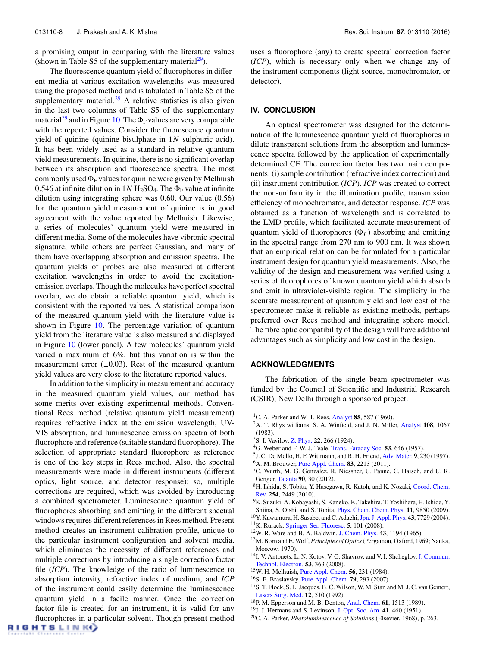a promising output in comparing with the literature values (shown in Table S5 of the supplementary material<sup>29</sup>).

The fluorescence quantum yield of fluorophores in different media at various excitation wavelengths was measured using the proposed method and is tabulated in Table S5 of the supplementary material. $29$  A relative statistics is also given in the last two columns of Table S5 of the supplementary material<sup>29</sup> and in Figure 10. The  $\Phi_F$  values are very comparable with the reported values. Consider the fluorescence quantum yield of quinine (quinine bisulphate in 1*N* sulphuric acid). It has been widely used as a standard in relative quantum yield measurements. In quinine, there is no significant overlap between its absorption and fluorescence spectra. The most commonly used  $\Phi_F$  values for quinine were given by Melhuish 0.546 at infinite dilution in  $1N H_2SO_4$ . The  $\Phi_F$  value at infinite dilution using integrating sphere was 0.60. Our value (0.56) for the quantum yield measurement of quinine is in good agreement with the value reported by Melhuish. Likewise, a series of molecules' quantum yield were measured in different media. Some of the molecules have vibronic spectral signature, while others are perfect Gaussian, and many of them have overlapping absorption and emission spectra. The quantum yields of probes are also measured at different excitation wavelengths in order to avoid the excitationemission overlaps. Though the molecules have perfect spectral overlap, we do obtain a reliable quantum yield, which is consistent with the reported values. A statistical comparison of the measured quantum yield with the literature value is shown in Figure 10. The percentage variation of quantum yield from the literature value is also measured and displayed in Figure 10 (lower panel). A few molecules' quantum yield varied a maximum of 6%, but this variation is within the measurement error  $(\pm 0.03)$ . Rest of the measured quantum yield values are very close to the literature reported values.

In addition to the simplicity in measurement and accuracy in the measured quantum yield values, our method has some merits over existing experimental methods. Conventional Rees method (relative quantum yield measurement) requires refractive index at the emission wavelength, UV-VIS absorption, and luminescence emission spectra of both fluorophore and reference (suitable standard fluorophore). The selection of appropriate standard fluorophore as reference is one of the key steps in Rees method. Also, the spectral measurements were made in different instruments (different optics, light source, and detector response); so, multiple corrections are required, which was avoided by introducing a combined spectrometer. Luminescence quantum yield of fluorophores absorbing and emitting in the different spectral windows requires different references in Rees method. Present method creates an instrument calibration profile, unique to the particular instrument configuration and solvent media, which eliminates the necessity of different references and multiple corrections by introducing a single correction factor file (*ICP*). The knowledge of the ratio of luminescence to absorption intensity, refractive index of medium, and *ICP* of the instrument could easily determine the luminescence quantum yield in a facile manner. Once the correction factor file is created for an instrument, it is valid for any fluorophores in a particular solvent. Though present method uses a fluorophore (any) to create spectral correction factor (*ICP*), which is necessary only when we change any of the instrument components (light source, monochromator, or detector).

### **IV. CONCLUSION**

An optical spectrometer was designed for the determination of the luminescence quantum yield of fluorophores in dilute transparent solutions from the absorption and luminescence spectra followed by the application of experimentally determined CF. The correction factor has two main components: (i) sample contribution (refractive index correction) and (ii) instrument contribution (*ICP*). *ICP* was created to correct the non-uniformity in the illumination profile, transmission efficiency of monochromator, and detector response. *ICP* was obtained as a function of wavelength and is correlated to the LMD profile, which facilitated accurate measurement of quantum yield of fluorophores  $(\Phi_F)$  absorbing and emitting in the spectral range from 270 nm to 900 nm. It was shown that an empirical relation can be formulated for a particular instrument design for quantum yield measurements. Also, the validity of the design and measurement was verified using a series of fluorophores of known quantum yield which absorb and emit in ultraviolet-visible region. The simplicity in the accurate measurement of quantum yield and low cost of the spectrometer make it reliable as existing methods, perhaps preferred over Rees method and integrating sphere model. The fibre optic compatibility of the design will have additional advantages such as simplicity and low cost in the design.

## **ACKNOWLEDGMENTS**

The fabrication of the single beam spectrometer was funded by the Council of Scientific and Industrial Research (CSIR), New Delhi through a sponsored project.

- <sup>1</sup>C. A. Parker and W. T. Rees, Analyst 85, 587 (1960).
- <sup>2</sup>A. T. Rhys williams, S. A. Winfield, and J. N. Miller, Analyst 108, 1067 (1983).
- <sup>3</sup>S. I. Vavilov, Z. Phys. 22, 266 (1924).
- <sup>4</sup>G. Weber and F. W. J. Teale, Trans. Faraday Soc. 53, 646 (1957).
- 5 J. C. De Mello, H. F. Wittmann, and R. H. Friend, Adv. Mater. 9, 230 (1997).
- <sup>6</sup>A. M. Brouwer, Pure Appl. Chem. **83**, 2213 (2011).
- <sup>7</sup>C. Wurth, M. G. Gonzalez, R. Niessner, U. Panne, C. Haisch, and U. R. Genger, Talanta 90, 30 (2012).
- <sup>8</sup>H. Ishida, S. Tobita, Y. Hasegawa, R. Katoh, and K. Nozaki, Coord. Chem. Rev. 254, 2449 (2010).
- <sup>9</sup>K. Suzuki, A. Kobayashi, S. Kaneko, K. Takehira, T. Yoshihara, H. Ishida, Y. Shiina, S. Oishi, and S. Tobita, Phys. Chem. Chem. Phys. 11, 9850 (2009).
- <sup>10</sup>Y. Kawamura, H. Sasabe, and C. Adachi, Jpn. J. Appl. Phys. 43, 7729 (2004).
- <sup>11</sup>K. Rurack, Springer Ser. Fluoresc. 5, 101 (2008).
- <sup>12</sup>W. R. Ware and B. A. Baldwin, J. Chem. Phys. 43, 1194 (1965).
- <sup>13</sup>M. Born and E. Wolf, *Principles of Optics*(Pergamon, Oxford, 1969; Nauka, Moscow, 1970).
- <sup>14</sup>I. V. Antonets, L. N. Kotov, V. G. Shavrov, and V. I. Shcheglov, J. Commun. Technol. Electron. 53, 363 (2008).
- <sup>15</sup>W. H. Melhuish, Pure Appl. Chem. 56, 231 (1984).
- <sup>16</sup>S. E. Braslavsky, Pure Appl. Chem. 79, 293 (2007).
- <sup>17</sup>S. T. Flock, S. L. Jacques, B. C. Wilson, W. M. Star, and M. J. C. van Gemert, Lasers Surg. Med. 12, 510 (1992).
- <sup>18</sup>P. M. Epperson and M. B. Denton, Anal. Chem. 61, 1513 (1989).
- <sup>19</sup>J. J. Hermans and S. Levinson, J. Opt. Soc. Am. 41, 460 (1951).
- <sup>20</sup>C. A. Parker, *Photoluminescence of Solutions* (Elsevier, 1968), p. 263.